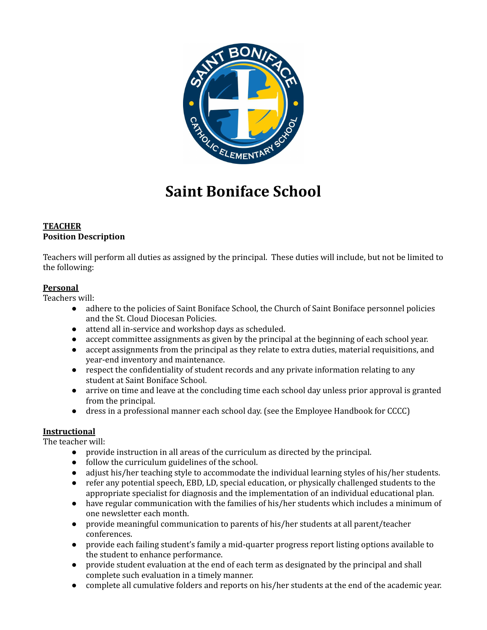

# **Saint Boniface School**

#### **TEACHER Position Description**

Teachers will perform all duties as assigned by the principal. These duties will include, but not be limited to the following:

# **Personal**

Teachers will:

- adhere to the policies of Saint Boniface School, the Church of Saint Boniface personnel policies and the St. Cloud Diocesan Policies.
- attend all in-service and workshop days as scheduled.
- accept committee assignments as given by the principal at the beginning of each school year.
- accept assignments from the principal as they relate to extra duties, material requisitions, and year-end inventory and maintenance.
- respect the confidentiality of student records and any private information relating to any student at Saint Boniface School.
- arrive on time and leave at the concluding time each school day unless prior approval is granted from the principal.
- dress in a professional manner each school day. (see the Employee Handbook for CCCC)

## **Instructional**

The teacher will:

- provide instruction in all areas of the curriculum as directed by the principal.
- follow the curriculum guidelines of the school.
- adjust his/her teaching style to accommodate the individual learning styles of his/her students.
- refer any potential speech, EBD, LD, special education, or physically challenged students to the appropriate specialist for diagnosis and the implementation of an individual educational plan.
- have regular communication with the families of his/her students which includes a minimum of one newsletter each month.
- provide meaningful communication to parents of his/her students at all parent/teacher conferences.
- provide each failing student's family a mid-quarter progress report listing options available to the student to enhance performance.
- provide student evaluation at the end of each term as designated by the principal and shall complete such evaluation in a timely manner.
- complete all cumulative folders and reports on his/her students at the end of the academic year.